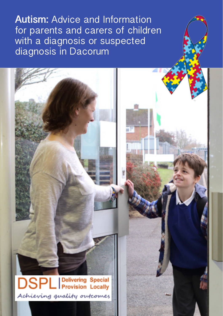**Autism:** Advice and Information for parents and carers of children with a diagnosis or suspected diagnosis in Dacorum

**DSPL** Provision Locally Achieving quality outcomes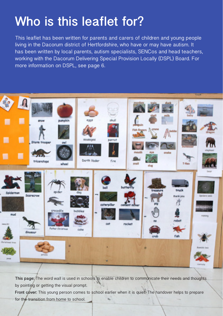# **Who is this leaflet for?**

This leaflet has been written for parents and carers of children and young people living in the Dacorum district of Hertfordshire, who have or may have autism. It has been written by local parents, autism specialists, SENCos and head teachers, working with the Dacorum Delivering Special Provision Locally (DSPL) Board. For more information on DSPL, see page 6.



**This page:** The word wall is used in schools to enable children to communicate their needs and thoughts by pointing or getting the visual prompt.

**Front cover:** This young person comes to school earlier when it is quiet. The handover helps to prepare for the transition from home to school.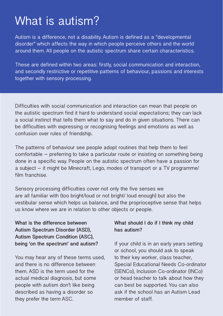# What is autism?

Autism is a difference, not a disability. Autism is defined as a "developmental disorder" which affects the way in which people perceive others and the world around them. All people on the autistic spectrum share certain characteristics.

These are defined within two areas: firstly, social communication and interaction, and secondly restrictive or repetitive patterns of behaviour, passions and interests together with sensory processing.

Difficulties with social communication and interaction can mean that people on the autistic spectrum find it hard to understand social expectations; they can lack a social instinct that tells them what to say and do in given situations. There can be difficulties with expressing or recognising feelings and emotions as well as confusion over rules of friendship.

The patterns of behaviour see people adopt routines that help them to feel comfortable – preferring to take a particular route or insisting on something being done in a specific way. People on the autistic spectrum often have a passion for a subject – it might be Minecraft, Lego, modes of transport or a TV programme/ film franchise.

Sensory processing difficulties cover not only the five senses we are all familiar with (too bright/loud or not bright/ loud enough) but also the vestibular sense which helps us balance, and the proprioceptive sense that helps us know where we are in relation to other objects or people.

**What is the difference between Autism Spectrum Disorder (ASD), Autism Spectrum Condition (ASC), being 'on the spectrum' and autism?**

You may hear any of these terms used, and there is no difference between them. ASD is the term used for the actual medical diagnosis, but some people with autism don't like being described as having a disorder so they prefer the term ASC.

### **What should I do if I think my child has autism?**

If your child is in an early years setting or school, you should ask to speak to their key worker, class teacher, Special Educational Needs Co-ordinator (SENCo), Inclusion Co-ordinator (INCo) or head teacher to talk about how they can best be supported. You can also ask if the school has an Autism Lead member of staff.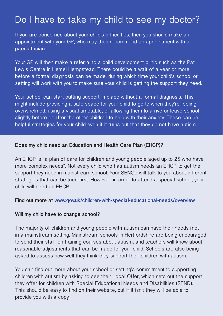## Do I have to take my child to see my doctor?

If you are concerned about your child's difficulties, then you should make an appointment with your GP, who may then recommend an appointment with a paediatrician.

Your GP will then make a referral to a child development clinic such as the Pat Lewis Centre in Hemel Hempstead. There could be a wait of a year or more before a formal diagnosis can be made, during which time your child's school or setting will work with you to make sure your child is getting the support they need.

Your school can start putting support in place without a formal diagnosis. This might include providing a safe space for your child to go to when they're feeling overwhelmed, using a visual timetable, or allowing them to arrive or leave school slightly before or after the other children to help with their anxiety. These can be helpful strategies for your child even if it turns out that they do not have autism.

### **Does my child need an Education and Health Care Plan (EHCP)?**

An EHCP is "a plan of care for children and young people aged up to 25 who have more complex needs". Not every child who has autism needs an EHCP to get the support they need in mainstream school. Your SENCo will talk to you about different strategies that can be tried first. However, in order to attend a special school, your child will need an EHCP.

### **Find out more at www.gov.uk/children-with-special-educational-needs/overview**

### **Will my child have to change school?**

The majority of children and young people with autism can have their needs met in a mainstream setting. Mainstream schools in Hertfordshire are being encouraged to send their staff on training courses about autism, and teachers will know about reasonable adjustments that can be made for your child. Schools are also being asked to assess how well they think they support their children with autism.

You can find out more about your school or setting's commitment to supporting children with autism by asking to see their Local Offer, which sets out the support they offer for children with Special Educational Needs and Disabilities (SEND). This should be easy to find on their website, but if it isn't they will be able to provide you with a copy.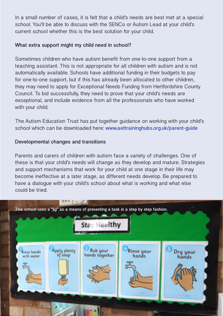In a small number of cases, it is felt that a child's needs are best met at a special school. You'll be able to discuss with the SENCo or Autism Lead at your child's current school whether this is the best solution for your child.

### **What extra support might my child need in school?**

Sometimes children who have autism benefit from one-to-one support from a teaching assistant. This is not appropriate for all children with autism and is not automatically available. Schools have additional funding in their budgets to pay for one-to-one support, but if this has already been allocated to other children, they may need to apply for Exceptional Needs Funding from Hertfordshire County Council. To bid successfully, they need to prove that your child's needs are exceptional, and include evidence from all the professionals who have worked with your child.

The Autism Education Trust has put together guidance on working with your child's school which can be downloaded here: **www.aettraininghubs.org.uk/parent-guide**

### **Developmental changes and transitions**

Parents and carers of children with autism face a variety of challenges. One of these is that your child's needs will change as they develop and mature. Strategies and support mechanisms that work for your child at one stage in their life may become ineffective at a later stage, as different needs develop. Be prepared to have a dialogue with your child's school about what is working and what else could be tried.

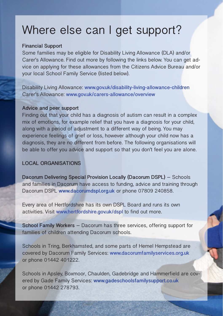## Where else can I get support?

### **Financial Support**

Some families may be eligible for Disability Living Allowance (DLA) and/or Carer's Allowance. Find out more by following the links below. You can get advice on applying for these allowances from the Citizens Advice Bureau and/or your local School Family Service (listed below).

Disability Living Allowance: **www.gov.uk/disability-living-allowance-children** Carer's Allowance: **www.gov.uk/carers-allowance/overview** 

### **Advice and peer support**

Finding out that your child has a diagnosis of autism can result in a complex mix of emotions, for example relief that you have a diagnosis for your child, along with a period of adjustment to a different way of being. You may experience feelings of grief or loss, however although your child now has a diagnosis, they are no different from before. The following organisations will be able to offer you advice and support so that you don't feel you are alone.

### **LOCAL ORGANISATIONS**

**Dacorum Delivering Special Provision Locally (Dacorum DSPL)** – Schools and families in Dacorum have access to funding, advice and training through Dacorum DSPL **www.dacorumdspl.org.uk** or phone 07809 240858.

Every area of Hertfordshire has its own DSPL Board and runs its own activities. Visit **www.hertfordshire.gov.uk/dspl** to find out more.

**School Family Workers** – Dacorum has three services, offering support for families of children attending Dacorum schools.

Schools in Tring, Berkhamsted, and some parts of Hemel Hempstead are covered by Dacorum Family Services: **www.dacorumfamilyservices.org.uk** or phone 01442 401222.

Schools in Apsley, Boxmoor, Chaulden, Gadebridge and Hammerfield are covered by Gade Family Services: **www.gadeschoolsfamilysupport.co.uk** or phone 01442 278793.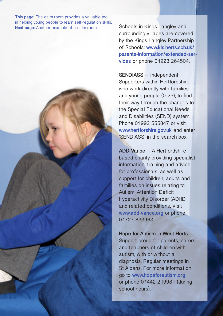**This page:** The calm room provides a valuable tool in helping young people to learn self-regulation skills. **Next page:** Another example of a calm room.

Schools in Kings Langley and surrounding villages are covered by the Kings Langley Partnership of Schools: **www.kls.herts.sch.uk/ parents-information/extended-services** or phone 01923 264504.

**SENDIASS** – Independent Supporters within Hertfordshire who work directly with families and young people (0-25), to find their way through the changes to the Special Educational Needs and Disabilities (SEND) system. Phone 01992 555847 or visit **www.hertforshire.gov.uk** and enter 'SENDIASS' in the search box.

**ADD-Vance** – A Hertfordshire based charity providing specialist information, training and advice for professionals, as well as support for children, adults and families on issues relating to Autism, Attention Deficit Hyperactivity Disorder (ADHD and related conditions. Visit **www.add-vance.org** or phone 01727 833963.

**Hope for Autism in West Herts** – Support group for parents, carers and teachers of children with autism, with or without a diagnosis. Regular meetings in St Albans. For more information go to **www.hopeforautism.org** or phone 01442 219981 (during school hours).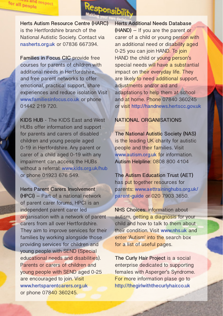

**Herts Autism Resource Centre (HARC)**  is the Hertfordshire branch of the National Autistic Society. Contact via **nasherts.org.uk** or 07836 667394.

for all people

and respect

**Families in Focus CIC** provide free courses for parents of children with additional needs in Hertfordshire, and free parent networks to offer emotional, practical support, share experiences and reduce isolation Visit **www.familiesinfocus.co.uk** or phone 01442 219 720.

**KIDS HUB** - The KIDS East and West HUBs offer information and support for parents and carers of disabled children and young people aged 0-19 in Hertfordshire. Any parent or carer of a child aged 0-19 with any impairment can access the HUBs without a referral: **www.kids.org.uk/hub** or phone 01923 676 549.

**Herts Parent Carers Involvement (HPCI)** – Part of a national network of parent carer forums, HPCI is an independent parent carer led organisation with a network of parent carers from all over Hertfordshire. They aim to improve services for their families by working alongside those providing services for children and young people with SEND (Special educational needs and disabilities). Parents or carers of children and young people with SEND aged 0-25 are encouraged to join. Visit **www.hertsparentcarers.org.uk** or phone 07840 360245.

**Herts Additional Needs Database (HAND)** – If you are the parent or carer of a child or young person with an additional need or disability aged 0-25 you can join HAND. To join HAND the child or young person's special needs will have a substantial impact on their everyday life. They are likely to need additional support, adjustments and/or aid and adaptations to help them at school and at home. Phone 07840 360245 or visit **http://handnews.hertscc.gov.uk**

### **NATIONAL ORGANISATIONS**

**The National Autistic Society (NAS)** is the leading UK charity for autistic people and their families. Visit **www.autism.org.uk** for information. **Autism Helpline**: 0808 800 4104

**The Autism Education Trust (AET)** has put together resources for parents: **www.aettraininghubs.org.uk/ parent-guide** or 020 7903 3650.

**NHS Choices**: information about autism, getting a diagnosis for your child and how to talk to them about their condition. Visit **www.nhs.uk** and enter 'Autism' into the search box for a list of useful pages.

**The Curly Hair Project** is a social enterprise dedicated to supporting females with Asperger's Syndrome. For more information plase go to **http://thegirlwiththecurlyhair.co.uk**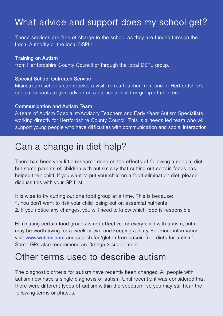## What advice and support does my school get?

These services are free of charge to the school as they are funded through the Local Authority or the local DSPL:

### **Training on Autism**

from Hertfordshire County Council or through the local DSPL group.

### **Special School Outreach Service**

Mainstream schools can receive a visit from a teacher from one of Hertfordshire's special schools to give advice on a particular child or group of children.

### **Communication and Autism Team**

A team of Autism Specialist/Advisory Teachers and Early Years Autism Specialists working directly for Hertfordshire County Council. This is a needs led team who will support young people who have difficulties with communication and social interaction.

### Can a change in diet help?

There has been very little research done on the effects of following a special diet, but some parents of children with autism say that cutting out certain foods has helped their child. If you want to put your child on a food elimination diet, please discuss this with your GP first.

It is wise to try cutting out one food group at a time. This is because:

- **1.** You don't want to risk your child losing out on essential nutrients
- **2.** If you notice any changes, you will need to know which food is responsible.

Eliminating certain food groups is not effective for every child with autism, but it may be worth trying for a week or two and keeping a diary. For more information, visit **www.webmd.com** and search for 'gluten free casein free diets for autism'. Some GPs also recommend an Omega 3 supplement.

### Other terms used to describe autism

The diagnostic criteria for autism have recently been changed. All people with autism now have a single diagnosis of autism. Until recently, it was considered that there were different types of autism within the spectrum, so you may still hear the following terms or phases: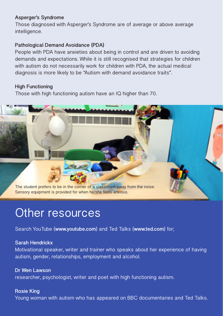### **Asperger's Syndrome**

Those diagnosed with Asperger's Syndrome are of average or above average intelligence.

### **Pathological Demand Avoidance (PDA)**

People with PDA have anxieties about being in control and are driven to avoiding demands and expectations. While it is still recognised that strategies for children with autism do not necessarily work for children with PDA, the actual medical diagnosis is more likely to be "Autism with demand avoidance traits".

### **High Functioning**

Those with high functioning autism have an IQ higher than 70.



## Other resources

Search YouTube (**www.youtube.com**) and Ted Talks (**www.ted.com**) for;

### **Sarah Hendrickx**

Motivational speaker, writer and trainer who speaks about her experience of having autism, gender, relationships, employment and alcohol.

### **Dr Wen Lawson** researcher, psychologist, writer and poet with high functioning autism.

**Rosie King** Young woman with autism who has appeared on BBC documentaries and Ted Talks.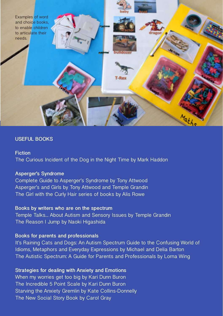

### **USEFUL BOOKS**

#### **Fiction**

The Curious Incident of the Dog in the Night Time by Mark Haddon

### **Asperger's Syndrome**

Complete Guide to Asperger's Syndrome by Tony Attwood Asperger's and Girls by Tony Attwood and Temple Grandin The Girl with the Curly Hair series of books by Alis Rowe

### **Books by writers who are on the spectrum**

Temple Talks... About Autism and Sensory Issues by Temple Grandin The Reason I Jump by Naoki Higashida

### **Books for parents and professionals**

It's Raining Cats and Dogs: An Autism Spectrum Guide to the Confusing World of Idioms, Metaphors and Everyday Expressions by Michael and Delia Barton The Autistic Spectrum: A Guide for Parents and Professionals by Lorna Wing

### **Strategies for dealing with Anxiety and Emotions**

When my worries get too big by Kari Dunn Buron The Incredible 5 Point Scale by Kari Dunn Buron Starving the Anxiety Gremlin by Kate Collins-Donnelly The New Social Story Book by Carol Gray